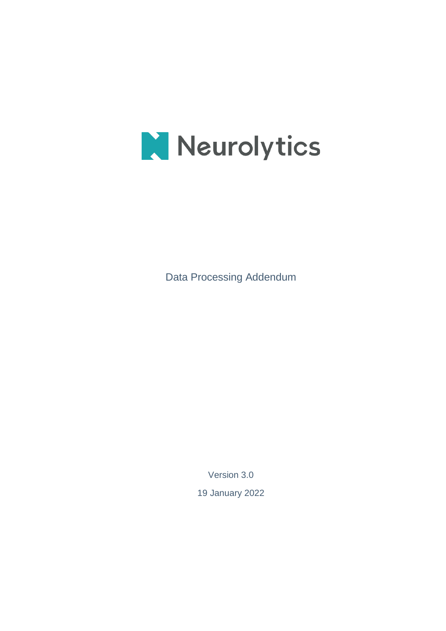

Data Processing Addendum

Version 3.0

19 January 2022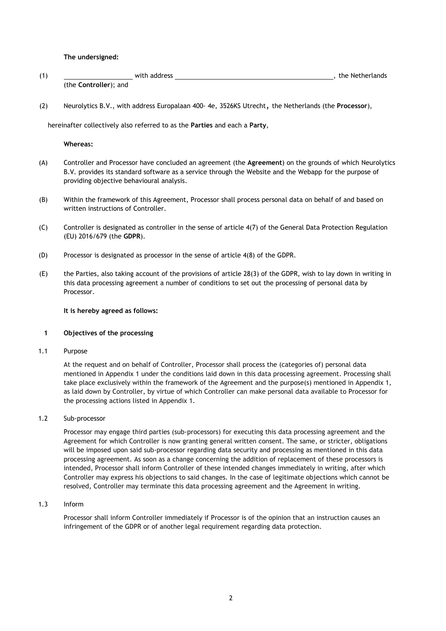**The undersigned:**

| (1) | with address                  | the Netherlands |
|-----|-------------------------------|-----------------|
|     | (the <b>Controller</b> ); and |                 |

(2) Neurolytics B.V., with address Europalaan 400- 4e, 3526KS Utrecht, the Netherlands (the **Processor**),

hereinafter collectively also referred to as the **Parties** and each a **Party**,

**Whereas:**

- (A) Controller and Processor have concluded an agreement (the **Agreement**) on the grounds of which Neurolytics B.V. provides its standard software as a service through the Website and the Webapp for the purpose of providing objective behavioural analysis.
- (B) Within the framework of this Agreement, Processor shall process personal data on behalf of and based on written instructions of Controller.
- (C) Controller is designated as controller in the sense of article 4(7) of the General Data Protection Regulation (EU) 2016/679 (the **GDPR**).
- (D) Processor is designated as processor in the sense of article 4(8) of the GDPR.
- (E) the Parties, also taking account of the provisions of article 28(3) of the GDPR, wish to lay down in writing in this data processing agreement a number of conditions to set out the processing of personal data by Processor.

#### **It is hereby agreed as follows:**

# **1 Objectives of the processing**

1.1 Purpose

At the request and on behalf of Controller, Processor shall process the (categories of) personal data mentioned in Appendix 1 under the conditions laid down in this data processing agreement. Processing shall take place exclusively within the framework of the Agreement and the purpose(s) mentioned in Appendix 1, as laid down by Controller, by virtue of which Controller can make personal data available to Processor for the processing actions listed in Appendix 1.

1.2 Sub-processor

Processor may engage third parties (sub-processors) for executing this data processing agreement and the Agreement for which Controller is now granting general written consent. The same, or stricter, obligations will be imposed upon said sub-processor regarding data security and processing as mentioned in this data processing agreement. As soon as a change concerning the addition of replacement of these processors is intended, Processor shall inform Controller of these intended changes immediately in writing, after which Controller may express his objections to said changes. In the case of legitimate objections which cannot be resolved, Controller may terminate this data processing agreement and the Agreement in writing.

1.3 Inform

Processor shall inform Controller immediately if Processor is of the opinion that an instruction causes an infringement of the GDPR or of another legal requirement regarding data protection.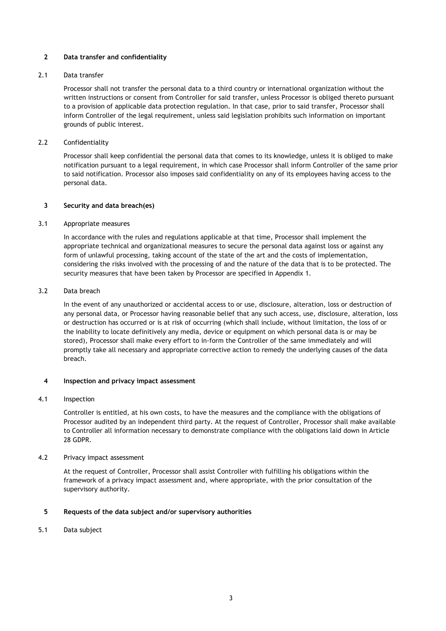# **2 Data transfer and confidentiality**

### 2.1 Data transfer

Processor shall not transfer the personal data to a third country or international organization without the written instructions or consent from Controller for said transfer, unless Processor is obliged thereto pursuant to a provision of applicable data protection regulation. In that case, prior to said transfer, Processor shall inform Controller of the legal requirement, unless said legislation prohibits such information on important grounds of public interest.

# 2.2 Confidentiality

Processor shall keep confidential the personal data that comes to its knowledge, unless it is obliged to make notification pursuant to a legal requirement, in which case Processor shall inform Controller of the same prior to said notification. Processor also imposes said confidentiality on any of its employees having access to the personal data.

#### **3 Security and data breach(es)**

#### 3.1 Appropriate measures

In accordance with the rules and regulations applicable at that time, Processor shall implement the appropriate technical and organizational measures to secure the personal data against loss or against any form of unlawful processing, taking account of the state of the art and the costs of implementation, considering the risks involved with the processing of and the nature of the data that is to be protected. The security measures that have been taken by Processor are specified in Appendix 1.

# 3.2 Data breach

In the event of any unauthorized or accidental access to or use, disclosure, alteration, loss or destruction of any personal data, or Processor having reasonable belief that any such access, use, disclosure, alteration, loss or destruction has occurred or is at risk of occurring (which shall include, without limitation, the loss of or the inability to locate definitively any media, device or equipment on which personal data is or may be stored), Processor shall make every effort to in-form the Controller of the same immediately and will promptly take all necessary and appropriate corrective action to remedy the underlying causes of the data breach.

#### **4 Inspection and privacy impact assessment**

#### 4.1 Inspection

Controller is entitled, at his own costs, to have the measures and the compliance with the obligations of Processor audited by an independent third party. At the request of Controller, Processor shall make available to Controller all information necessary to demonstrate compliance with the obligations laid down in Article 28 GDPR.

# 4.2 Privacy impact assessment

At the request of Controller, Processor shall assist Controller with fulfilling his obligations within the framework of a privacy impact assessment and, where appropriate, with the prior consultation of the supervisory authority.

# **5 Requests of the data subject and/or supervisory authorities**

5.1 Data subject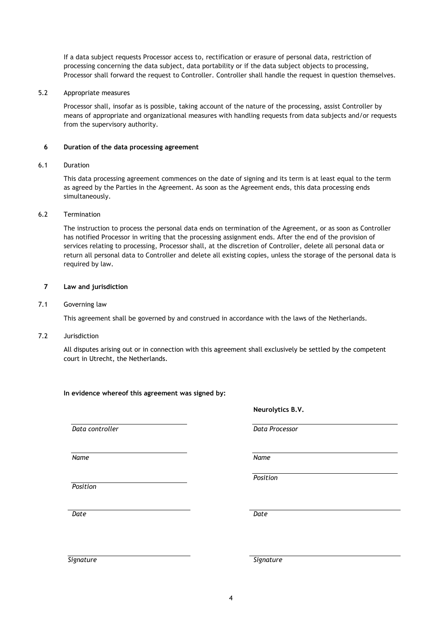If a data subject requests Processor access to, rectification or erasure of personal data, restriction of processing concerning the data subject, data portability or if the data subject objects to processing, Processor shall forward the request to Controller. Controller shall handle the request in question themselves.

# 5.2 Appropriate measures

Processor shall, insofar as is possible, taking account of the nature of the processing, assist Controller by means of appropriate and organizational measures with handling requests from data subjects and/or requests from the supervisory authority.

# **6 Duration of the data processing agreement**

# 6.1 Duration

This data processing agreement commences on the date of signing and its term is at least equal to the term as agreed by the Parties in the Agreement. As soon as the Agreement ends, this data processing ends simultaneously.

# 6.2 Termination

The instruction to process the personal data ends on termination of the Agreement, or as soon as Controller has notified Processor in writing that the processing assignment ends. After the end of the provision of services relating to processing, Processor shall, at the discretion of Controller, delete all personal data or return all personal data to Controller and delete all existing copies, unless the storage of the personal data is required by law.

# **7 Law and jurisdiction**

# 7.1 Governing law

This agreement shall be governed by and construed in accordance with the laws of the Netherlands.

# 7.2 Jurisdiction

All disputes arising out or in connection with this agreement shall exclusively be settled by the competent court in Utrecht, the Netherlands.

**In evidence whereof this agreement was signed by:**

*Data controller*

*Name*

*Position*

**Neurolytics B.V.** 

*Data Processor*

*Name*

*Position*

*Date Date* 

*Signature Signature*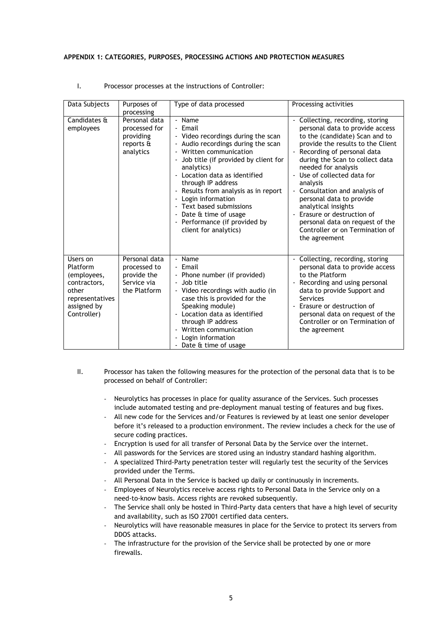#### **APPENDIX 1: CATEGORIES, PURPOSES, PROCESSING ACTIONS AND PROTECTION MEASURES**

| Data Subjects                                                                                                 | Purposes of<br>processing                                                   | Type of data processed                                                                                                                                                                                                                                                                                                                                                                                         | Processing activities                                                                                                                                                                                                                                                                                                                                                                                                                                                            |
|---------------------------------------------------------------------------------------------------------------|-----------------------------------------------------------------------------|----------------------------------------------------------------------------------------------------------------------------------------------------------------------------------------------------------------------------------------------------------------------------------------------------------------------------------------------------------------------------------------------------------------|----------------------------------------------------------------------------------------------------------------------------------------------------------------------------------------------------------------------------------------------------------------------------------------------------------------------------------------------------------------------------------------------------------------------------------------------------------------------------------|
| Candidates &<br>employees                                                                                     | Personal data<br>processed for<br>providing<br>reports &<br>analytics       | - Name<br>- Email<br>- Video recordings during the scan<br>- Audio recordings during the scan<br>Written communication<br>Job title (if provided by client for<br>analytics)<br>Location data as identified<br>through IP address<br>- Results from analysis as in report<br>Login information<br>- Text based submissions<br>- Date & time of usage<br>- Performance (if provided by<br>client for analytics) | Collecting, recording, storing<br>personal data to provide access<br>to the (candidate) Scan and to<br>provide the results to the Client<br>Recording of personal data<br>during the Scan to collect data<br>needed for analysis<br>Use of collected data for<br>analysis<br>Consultation and analysis of<br>personal data to provide<br>analytical insights<br>Erasure or destruction of<br>personal data on request of the<br>Controller or on Termination of<br>the agreement |
| Users on<br>Platform<br>(employees,<br>contractors,<br>other<br>representatives<br>assigned by<br>Controller) | Personal data<br>processed to<br>provide the<br>Service via<br>the Platform | - Name<br>- Email<br>- Phone number (if provided)<br>- Job title<br>Video recordings with audio (in<br>case this is provided for the<br>Speaking module)<br>Location data as identified<br>through IP address<br>- Written communication<br>Login information<br>Date & time of usage                                                                                                                          | Collecting, recording, storing<br>personal data to provide access<br>to the Platform<br>Recording and using personal<br>data to provide Support and<br>Services<br>Erasure or destruction of<br>personal data on request of the<br>Controller or on Termination of<br>the agreement                                                                                                                                                                                              |

#### I. Processor processes at the instructions of Controller:

- II. Processor has taken the following measures for the protection of the personal data that is to be processed on behalf of Controller:
	- Neurolytics has processes in place for quality assurance of the Services. Such processes include automated testing and pre-deployment manual testing of features and bug fixes.
	- All new code for the Services and/or Features is reviewed by at least one senior developer before it's released to a production environment. The review includes a check for the use of secure coding practices.
	- Encryption is used for all transfer of Personal Data by the Service over the internet.
	- All passwords for the Services are stored using an industry standard hashing algorithm.
	- A specialized Third-Party penetration tester will regularly test the security of the Services provided under the Terms.
	- All Personal Data in the Service is backed up daily or continuously in increments.
	- Employees of Neurolytics receive access rights to Personal Data in the Service only on a need-to-know basis. Access rights are revoked subsequently.
	- The Service shall only be hosted in Third-Party data centers that have a high level of security and availability, such as ISO 27001 certified data centers.
	- Neurolytics will have reasonable measures in place for the Service to protect its servers from DDOS attacks.
	- The infrastructure for the provision of the Service shall be protected by one or more firewalls.